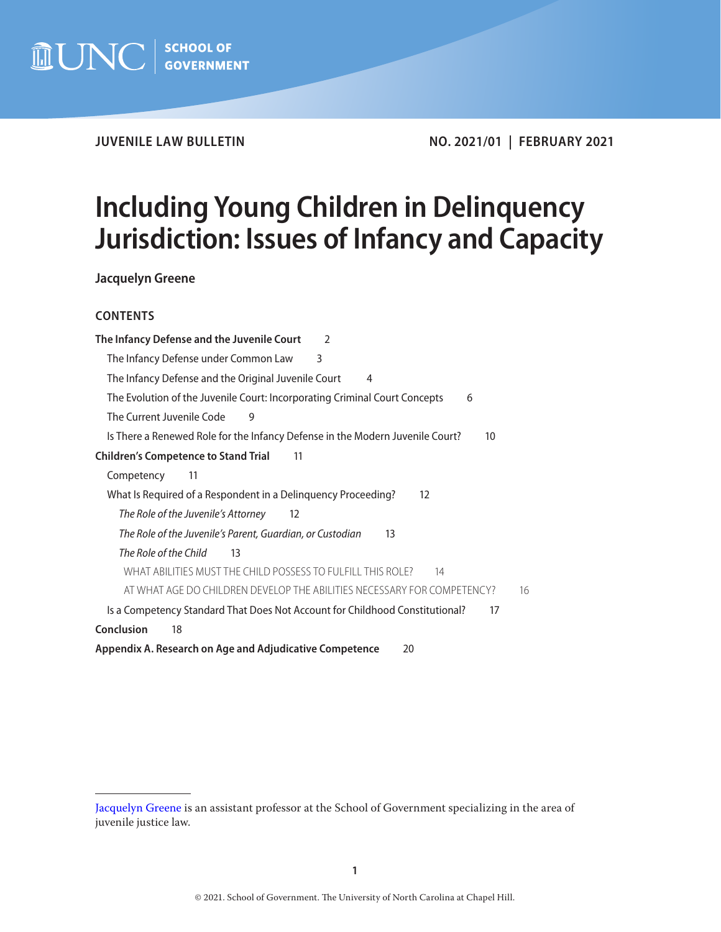

**JUVENILE LAW BULLETIN NO. 2021/01 | FEBRUARY 2021**

# **Including Young Children in Delinquency Jurisdiction: Issues of Infancy and Capacity**

**Jacquelyn Greene**

## **CONTENTS**

| The Infancy Defense and the Juvenile Court<br>$\mathcal{P}$                         |
|-------------------------------------------------------------------------------------|
| The Infancy Defense under Common Law<br>3                                           |
| The Infancy Defense and the Original Juvenile Court<br>4                            |
| The Evolution of the Juvenile Court: Incorporating Criminal Court Concepts<br>6     |
| The Current Juvenile Code<br>9                                                      |
| Is There a Renewed Role for the Infancy Defense in the Modern Juvenile Court?<br>10 |
| <b>Children's Competence to Stand Trial</b><br>11                                   |
| Competency<br>11                                                                    |
| What Is Required of a Respondent in a Delinquency Proceeding?<br>12                 |
| The Role of the Juvenile's Attorney<br>12                                           |
| The Role of the Juvenile's Parent, Guardian, or Custodian<br>13                     |
| The Role of the Child<br>13                                                         |
| WHAT ABILITIES MUST THE CHILD POSSESS TO FULFILL THIS ROLE?<br>14                   |
| AT WHAT AGE DO CHILDREN DEVELOP THE ABILITIES NECESSARY FOR COMPETENCY?<br>16       |
| Is a Competency Standard That Does Not Account for Childhood Constitutional?<br>17  |
| Conclusion<br>18                                                                    |
| Appendix A. Research on Age and Adjudicative Competence<br>20                       |
|                                                                                     |

[Jacquelyn Greene](https://www.sog.unc.edu/about/faculty-and-staff/jacquelyn-greene) is an assistant professor at the School of Government specializing in the area of juvenile justice law.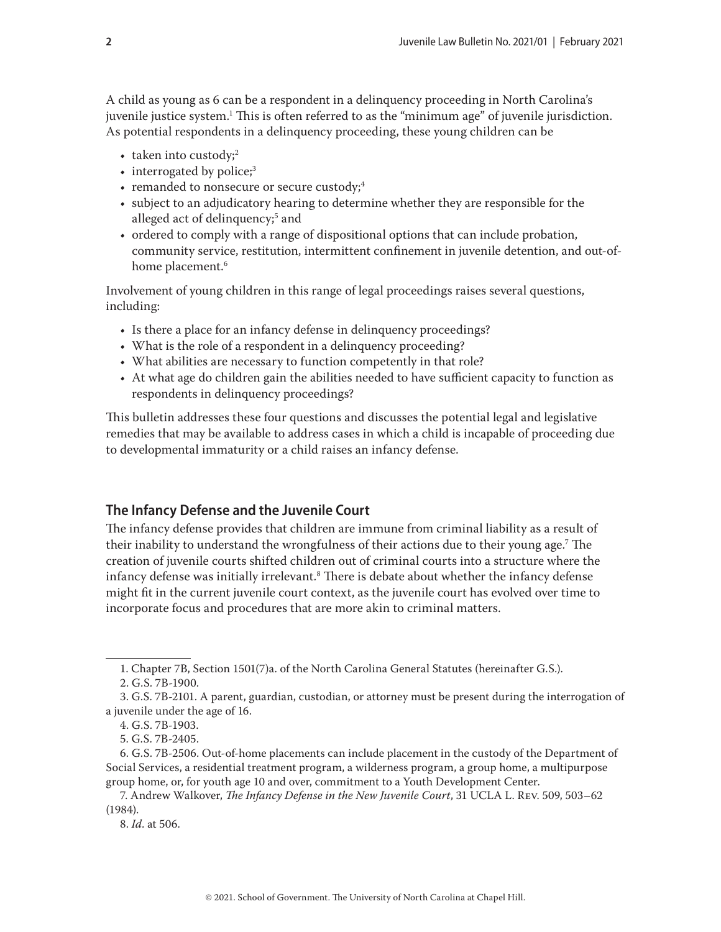<span id="page-1-0"></span>A child as young as 6 can be a respondent in a delinquency proceeding in North Carolina's juvenile justice system.1 This is often referred to as the "minimum age" of juvenile jurisdiction. As potential respondents in a delinquency proceeding, these young children can be

- taken into custody;<sup>2</sup>
- interrogated by police;<sup>3</sup>
- remanded to nonsecure or secure custody;<sup>4</sup>
- subject to an adjudicatory hearing to determine whether they are responsible for the alleged act of delinquency;<sup>5</sup> and
- ordered to comply with a range of dispositional options that can include probation, community service, restitution, intermittent confinement in juvenile detention, and out-ofhome placement.<sup>6</sup>

Involvement of young children in this range of legal proceedings raises several questions, including:

- Is there a place for an infancy defense in delinquency proceedings?
- What is the role of a respondent in a delinquency proceeding?
- What abilities are necessary to function competently in that role?
- At what age do children gain the abilities needed to have sufficient capacity to function as respondents in delinquency proceedings?

This bulletin addresses these four questions and discusses the potential legal and legislative remedies that may be available to address cases in which a child is incapable of proceeding due to developmental immaturity or a child raises an infancy defense.

# **The Infancy Defense and the Juvenile Court**

The infancy defense provides that children are immune from criminal liability as a result of their inability to understand the wrongfulness of their actions due to their young age.7 The creation of juvenile courts shifted children out of criminal courts into a structure where the infancy defense was initially irrelevant. $^{\rm 8}$  There is debate about whether the infancy defense might fit in the current juvenile court context, as the juvenile court has evolved over time to incorporate focus and procedures that are more akin to criminal matters.

<sup>1.</sup> Chapter 7B, Section 1501(7)a. of the North Carolina General Statutes (hereinafter G.S.).

<sup>2.</sup> G.S. 7B-1900.

<sup>3.</sup> G.S. 7B-2101. A parent, guardian, custodian, or attorney must be present during the interrogation of a juvenile under the age of 16.

<sup>4.</sup> G.S. 7B-1903.

<sup>5.</sup> G.S. 7B-2405.

<sup>6.</sup> G.S. 7B-2506. Out-of-home placements can include placement in the custody of the Department of Social Services, a residential treatment program, a wilderness program, a group home, a multipurpose group home, or, for youth age 10 and over, commitment to a Youth Development Center.

<sup>7.</sup> Andrew Walkover, *The Infancy Defense in the New Juvenile Court*, 31 UCLA L. Rev. 509, 503–62 (1984).

<sup>8.</sup> *Id*. at 506.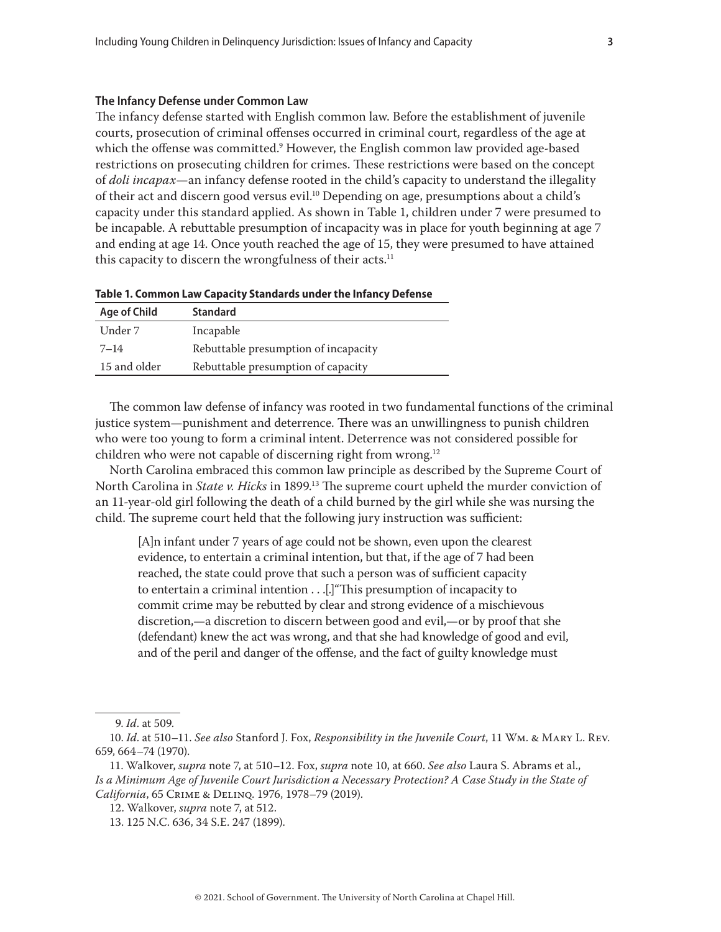#### <span id="page-2-0"></span>**The Infancy Defense under Common Law**

The infancy defense started with English common law. Before the establishment of juvenile courts, prosecution of criminal offenses occurred in criminal court, regardless of the age at which the offense was committed.<sup>9</sup> However, the English common law provided age-based restrictions on prosecuting children for crimes. These restrictions were based on the concept of *doli incapax*—an infancy defense rooted in the child's capacity to understand the illegality of their act and discern good versus evil.10 Depending on age, presumptions about a child's capacity under this standard applied. As shown in Table 1, children under 7 were presumed to be incapable. A rebuttable presumption of incapacity was in place for youth beginning at age 7 and ending at age 14. Once youth reached the age of 15, they were presumed to have attained this capacity to discern the wrongfulness of their acts.<sup>11</sup>

| <b>Standard</b>                      |
|--------------------------------------|
| Incapable                            |
| Rebuttable presumption of incapacity |
| Rebuttable presumption of capacity   |
|                                      |

The common law defense of infancy was rooted in two fundamental functions of the criminal justice system—punishment and deterrence. There was an unwillingness to punish children who were too young to form a criminal intent. Deterrence was not considered possible for children who were not capable of discerning right from wrong.12

North Carolina embraced this common law principle as described by the Supreme Court of North Carolina in *State v. Hicks* in 1899.13 The supreme court upheld the murder conviction of an 11-year-old girl following the death of a child burned by the girl while she was nursing the child. The supreme court held that the following jury instruction was sufficient:

[A]n infant under 7 years of age could not be shown, even upon the clearest evidence, to entertain a criminal intention, but that, if the age of 7 had been reached, the state could prove that such a person was of sufficient capacity to entertain a criminal intention . . .[.]"This presumption of incapacity to commit crime may be rebutted by clear and strong evidence of a mischievous discretion,—a discretion to discern between good and evil,—or by proof that she (defendant) knew the act was wrong, and that she had knowledge of good and evil, and of the peril and danger of the offense, and the fact of guilty knowledge must

<sup>9.</sup> *Id*. at 509.

<sup>10.</sup> *Id*. at 510–11. *See also* Stanford J. Fox, *Responsibility in the Juvenile Court*, 11 Wm. & Mary L. Rev. 659, 664–74 (1970).

<sup>11.</sup> Walkover, *supra* note 7, at 510–12. Fox, *supra* note 10, at 660. *See also* Laura S. Abrams et al., *Is a Minimum Age of Juvenile Court Jurisdiction a Necessary Protection? A Case Study in the State of California*, 65 Crime & Delinq. 1976, 1978–79 (2019).

<sup>12.</sup> Walkover, *supra* note 7, at 512.

<sup>13. 125</sup> N.C. 636, 34 S.E. 247 (1899).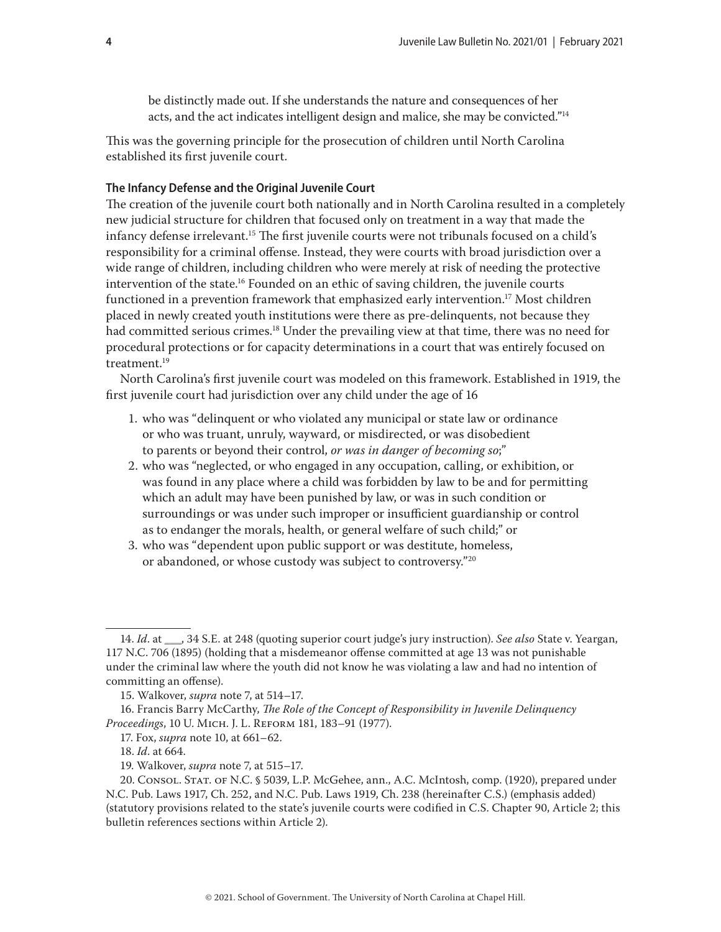be distinctly made out. If she understands the nature and consequences of her acts, and the act indicates intelligent design and malice, she may be convicted."14

<span id="page-3-0"></span>This was the governing principle for the prosecution of children until North Carolina established its first juvenile court.

## **The Infancy Defense and the Original Juvenile Court**

The creation of the juvenile court both nationally and in North Carolina resulted in a completely new judicial structure for children that focused only on treatment in a way that made the infancy defense irrelevant.<sup>15</sup> The first juvenile courts were not tribunals focused on a child's responsibility for a criminal offense. Instead, they were courts with broad jurisdiction over a wide range of children, including children who were merely at risk of needing the protective intervention of the state.<sup>16</sup> Founded on an ethic of saving children, the juvenile courts functioned in a prevention framework that emphasized early intervention.<sup>17</sup> Most children placed in newly created youth institutions were there as pre-delinquents, not because they had committed serious crimes.<sup>18</sup> Under the prevailing view at that time, there was no need for procedural protections or for capacity determinations in a court that was entirely focused on treatment.<sup>19</sup>

North Carolina's first juvenile court was modeled on this framework. Established in 1919, the first juvenile court had jurisdiction over any child under the age of 16

- 1. who was "delinquent or who violated any municipal or state law or ordinance or who was truant, unruly, wayward, or misdirected, or was disobedient to parents or beyond their control, *or was in danger of becoming so*;"
- 2. who was "neglected, or who engaged in any occupation, calling, or exhibition, or was found in any place where a child was forbidden by law to be and for permitting which an adult may have been punished by law, or was in such condition or surroundings or was under such improper or insufficient guardianship or control as to endanger the morals, health, or general welfare of such child;" or
- 3. who was "dependent upon public support or was destitute, homeless, or abandoned, or whose custody was subject to controversy."20

<sup>14.</sup> *Id*. at \_\_\_, 34 S.E. at 248 (quoting superior court judge's jury instruction). *See also* State v. Yeargan, 117 N.C. 706 (1895) (holding that a misdemeanor offense committed at age 13 was not punishable under the criminal law where the youth did not know he was violating a law and had no intention of committing an offense).

<sup>15.</sup> Walkover, *supra* note 7, at 514–17.

<sup>16.</sup> Francis Barry McCarthy, *The Role of the Concept of Responsibility in Juvenile Delinquency Proceedings*, 10 U. Mich. J. L. Reform 181, 183–91 (1977).

<sup>17.</sup> Fox, *supra* note 10, at 661–62.

<sup>18.</sup> *Id*. at 664.

<sup>19.</sup> Walkover, *supra* note 7, at 515–17.

<sup>20.</sup> Consol. Stat. of N.C. § 5039, L.P. McGehee, ann., A.C. McIntosh, comp. (1920), prepared under N.C. Pub. Laws 1917, Ch. 252, and N.C. Pub. Laws 1919, Ch. 238 (hereinafter C.S.) (emphasis added) (statutory provisions related to the state's juvenile courts were codified in C.S. Chapter 90, Article 2; this bulletin references sections within Article 2).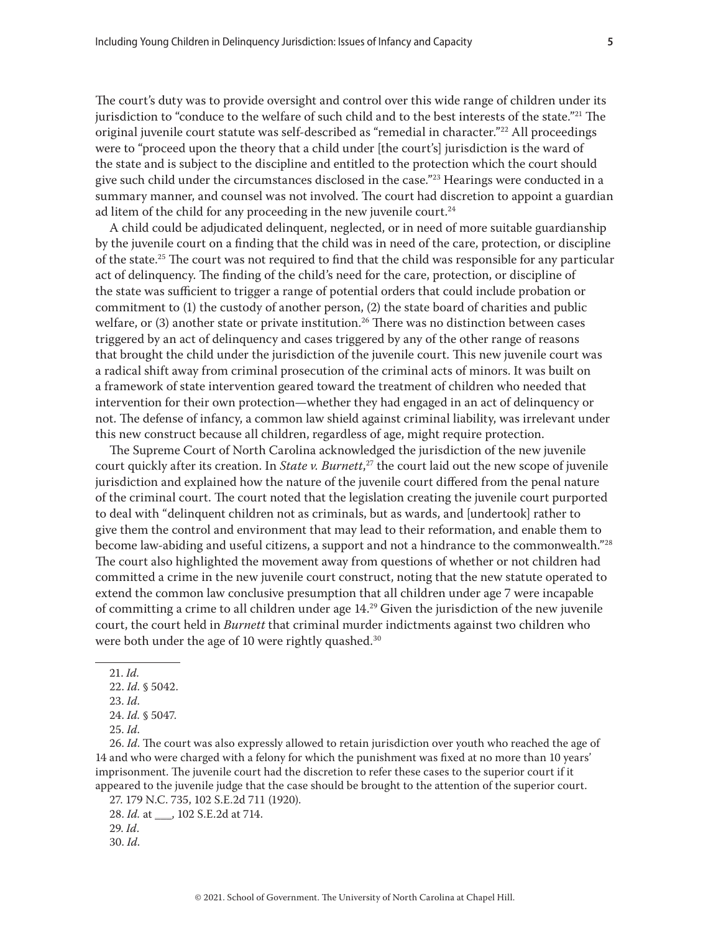The court's duty was to provide oversight and control over this wide range of children under its jurisdiction to "conduce to the welfare of such child and to the best interests of the state."<sup>21</sup> The original juvenile court statute was self-described as "remedial in character."22 All proceedings were to "proceed upon the theory that a child under [the court's] jurisdiction is the ward of the state and is subject to the discipline and entitled to the protection which the court should give such child under the circumstances disclosed in the case."<sup>23</sup> Hearings were conducted in a summary manner, and counsel was not involved. The court had discretion to appoint a guardian ad litem of the child for any proceeding in the new juvenile court. $24$ 

A child could be adjudicated delinquent, neglected, or in need of more suitable guardianship by the juvenile court on a finding that the child was in need of the care, protection, or discipline of the state.<sup>25</sup> The court was not required to find that the child was responsible for any particular act of delinquency. The finding of the child's need for the care, protection, or discipline of the state was sufficient to trigger a range of potential orders that could include probation or commitment to (1) the custody of another person, (2) the state board of charities and public welfare, or (3) another state or private institution.<sup>26</sup> There was no distinction between cases triggered by an act of delinquency and cases triggered by any of the other range of reasons that brought the child under the jurisdiction of the juvenile court. This new juvenile court was a radical shift away from criminal prosecution of the criminal acts of minors. It was built on a framework of state intervention geared toward the treatment of children who needed that intervention for their own protection—whether they had engaged in an act of delinquency or not. The defense of infancy, a common law shield against criminal liability, was irrelevant under this new construct because all children, regardless of age, might require protection.

The Supreme Court of North Carolina acknowledged the jurisdiction of the new juvenile court quickly after its creation. In *State v. Burnett*, 27 the court laid out the new scope of juvenile jurisdiction and explained how the nature of the juvenile court differed from the penal nature of the criminal court. The court noted that the legislation creating the juvenile court purported to deal with "delinquent children not as criminals, but as wards, and [undertook] rather to give them the control and environment that may lead to their reformation, and enable them to become law-abiding and useful citizens, a support and not a hindrance to the commonwealth."<sup>28</sup> The court also highlighted the movement away from questions of whether or not children had committed a crime in the new juvenile court construct, noting that the new statute operated to extend the common law conclusive presumption that all children under age 7 were incapable of committing a crime to all children under age 14.<sup>29</sup> Given the jurisdiction of the new juvenile court, the court held in *Burnett* that criminal murder indictments against two children who were both under the age of 10 were rightly quashed.<sup>30</sup>

21. *Id.*

26. *Id*. The court was also expressly allowed to retain jurisdiction over youth who reached the age of 14 and who were charged with a felony for which the punishment was fixed at no more than 10 years' imprisonment. The juvenile court had the discretion to refer these cases to the superior court if it appeared to the juvenile judge that the case should be brought to the attention of the superior court.

27. 179 N.C. 735, 102 S.E.2d 711 (1920).

<sup>22.</sup> *Id.* § 5042.

<sup>23.</sup> *Id*.

<sup>24.</sup> *Id.* § 5047.

<sup>25.</sup> *Id*.

<sup>28.</sup> *Id.* at \_\_\_, 102 S.E.2d at 714.

<sup>29.</sup> *Id*.

<sup>30.</sup> *Id*.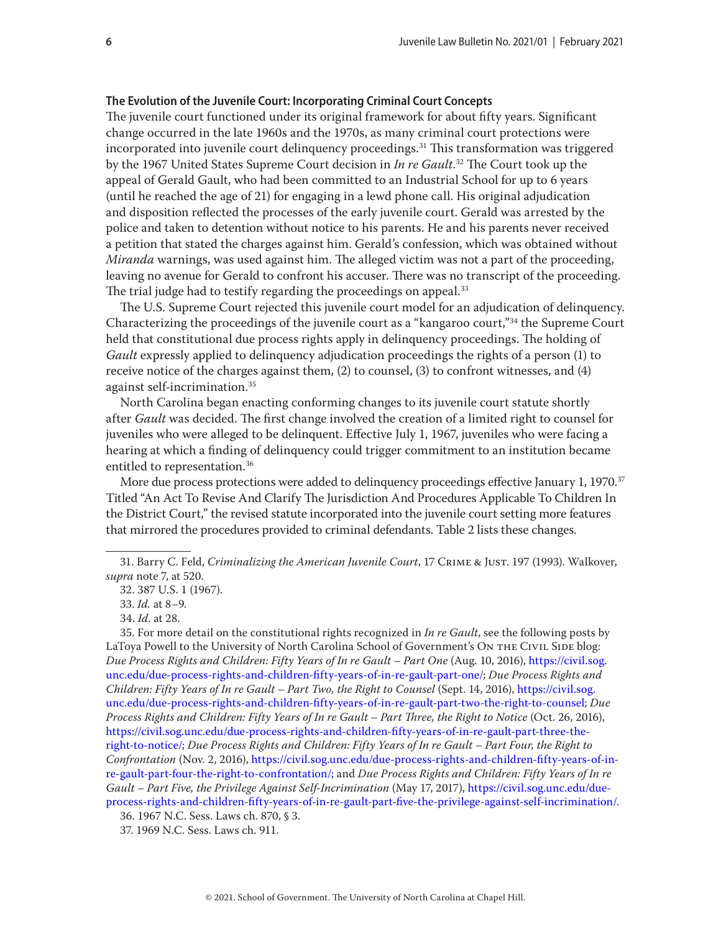#### <span id="page-5-0"></span>**The Evolution of the Juvenile Court: Incorporating Criminal Court Concepts**

The juvenile court functioned under its original framework for about fifty years. Significant change occurred in the late 1960s and the 1970s, as many criminal court protections were incorporated into juvenile court delinquency proceedings.<sup>31</sup> This transformation was triggered by the 1967 United States Supreme Court decision in *In re Gault*. 32 The Court took up the appeal of Gerald Gault, who had been committed to an Industrial School for up to 6 years (until he reached the age of 21) for engaging in a lewd phone call. His original adjudication and disposition reflected the processes of the early juvenile court. Gerald was arrested by the police and taken to detention without notice to his parents. He and his parents never received a petition that stated the charges against him. Gerald's confession, which was obtained without *Miranda* warnings, was used against him. The alleged victim was not a part of the proceeding, leaving no avenue for Gerald to confront his accuser. There was no transcript of the proceeding. The trial judge had to testify regarding the proceedings on appeal.<sup>33</sup>

The U.S. Supreme Court rejected this juvenile court model for an adjudication of delinquency. Characterizing the proceedings of the juvenile court as a "kangaroo court,"34 the Supreme Court held that constitutional due process rights apply in delinquency proceedings. The holding of *Gault* expressly applied to delinquency adjudication proceedings the rights of a person (1) to receive notice of the charges against them, (2) to counsel, (3) to confront witnesses, and (4) against self-incrimination.35

North Carolina began enacting conforming changes to its juvenile court statute shortly after *Gault* was decided. The first change involved the creation of a limited right to counsel for juveniles who were alleged to be delinquent. Effective July 1, 1967, juveniles who were facing a hearing at which a finding of delinquency could trigger commitment to an institution became entitled to representation.<sup>36</sup>

More due process protections were added to delinquency proceedings effective January 1, 1970.<sup>37</sup> Titled "An Act To Revise And Clarify The Jurisdiction And Procedures Applicable To Children In the District Court," the revised statute incorporated into the juvenile court setting more features that mirrored the procedures provided to criminal defendants. Table 2 lists these changes.

35. For more detail on the constitutional rights recognized in *In re Gault*, see the following posts by LaToya Powell to the University of North Carolina School of Government's ON THE CIVIL SIDE blog: *Due Process Rights and Children: Fifty Years of In re Gault – Part One* (Aug. 10, 2016), [https://civil.sog.](https://civil.sog.unc.edu/due-process-rights-and-children-fifty-years-of-in-re-gault-part-one/) [unc.edu/due-process-rights-and-children-fifty-years-of-in-re-gault-part-one/](https://civil.sog.unc.edu/due-process-rights-and-children-fifty-years-of-in-re-gault-part-one/); *Due Process Rights and Children: Fifty Years of In re Gault – Part Two, the Right to Counsel* (Sept. 14, 2016), [https://civil.sog.](https://civil.sog.unc.edu/due-process-rights-and-children-fifty-years-of-in-re-gault-part-two-the-right-to-counsel) [unc.edu/due-process-rights-and-children-fifty-years-of-in-re-gault-part-two-the-right-to-counsel;](https://civil.sog.unc.edu/due-process-rights-and-children-fifty-years-of-in-re-gault-part-two-the-right-to-counsel) *Due Process Rights and Children: Fifty Years of In re Gault – Part Three, the Right to Notice* (Oct. 26, 2016), [https://civil.sog.unc.edu/due-process-rights-and-children-fifty-years-of-in-re-gault-part-three-the](https://civil.sog.unc.edu/due-process-rights-and-children-fifty-years-of-in-re-gault-part-three-the-right-to-notice/)[right-to-notice/;](https://civil.sog.unc.edu/due-process-rights-and-children-fifty-years-of-in-re-gault-part-three-the-right-to-notice/) *Due Process Rights and Children: Fifty Years of In re Gault – Part Four, the Right to Confrontation* (Nov. 2, 2016), [https://civil.sog.unc.edu/due-process-rights-and-children-fifty-years-of-in](https://civil.sog.unc.edu/due-process-rights-and-children-fifty-years-of-in-re-gault-part-four-the-right-to-confrontation/)[re-gault-part-four-the-right-to-confrontation/](https://civil.sog.unc.edu/due-process-rights-and-children-fifty-years-of-in-re-gault-part-four-the-right-to-confrontation/); and *Due Process Rights and Children: Fifty Years of In re Gault – Part Five, the Privilege Against Self-Incrimination* (May 17, 2017), [https://civil.sog.unc.edu/due](https://civil.sog.unc.edu/due-process-rights-and-children-fifty-years-of-in-re-gault-part-five-the-privilege-against-self-incrimination/)[process-rights-and-children-fifty-years-of-in-re-gault-part-five-the-privilege-against-self-incrimination/.](https://civil.sog.unc.edu/due-process-rights-and-children-fifty-years-of-in-re-gault-part-five-the-privilege-against-self-incrimination/)

<sup>31.</sup> Barry C. Feld, *Criminalizing the American Juvenile Court*, 17 Crime & Just. 197 (1993). Walkover, *supra* note 7, at 520.

<sup>32. 387</sup> U.S. 1 (1967).

<sup>33.</sup> *Id.* at 8–9.

<sup>34.</sup> *Id*. at 28.

<sup>36. 1967</sup> N.C. Sess. Laws ch. 870, § 3.

<sup>37. 1969</sup> N.C. Sess. Laws ch. 911.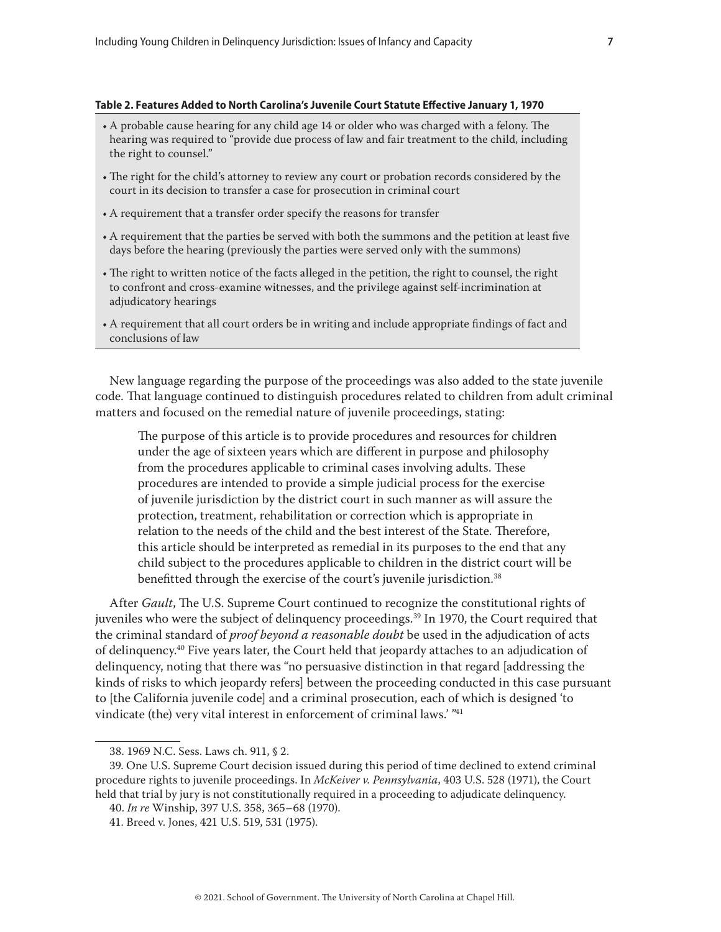#### **Table 2. Features Added to North Carolina's Juvenile Court Statute Effective January 1, 1970**

- A probable cause hearing for any child age 14 or older who was charged with a felony. The hearing was required to "provide due process of law and fair treatment to the child, including the right to counsel."
- The right for the child's attorney to review any court or probation records considered by the court in its decision to transfer a case for prosecution in criminal court
- A requirement that a transfer order specify the reasons for transfer
- A requirement that the parties be served with both the summons and the petition at least five days before the hearing (previously the parties were served only with the summons)
- The right to written notice of the facts alleged in the petition, the right to counsel, the right to confront and cross-examine witnesses, and the privilege against self-incrimination at adjudicatory hearings
- A requirement that all court orders be in writing and include appropriate findings of fact and conclusions of law

New language regarding the purpose of the proceedings was also added to the state juvenile code. That language continued to distinguish procedures related to children from adult criminal matters and focused on the remedial nature of juvenile proceedings, stating:

The purpose of this article is to provide procedures and resources for children under the age of sixteen years which are different in purpose and philosophy from the procedures applicable to criminal cases involving adults. These procedures are intended to provide a simple judicial process for the exercise of juvenile jurisdiction by the district court in such manner as will assure the protection, treatment, rehabilitation or correction which is appropriate in relation to the needs of the child and the best interest of the State. Therefore, this article should be interpreted as remedial in its purposes to the end that any child subject to the procedures applicable to children in the district court will be benefitted through the exercise of the court's juvenile jurisdiction.<sup>38</sup>

After *Gault*, The U.S. Supreme Court continued to recognize the constitutional rights of juveniles who were the subject of delinquency proceedings.39 In 1970, the Court required that the criminal standard of *proof beyond a reasonable doubt* be used in the adjudication of acts of delinquency.40 Five years later, the Court held that jeopardy attaches to an adjudication of delinquency, noting that there was "no persuasive distinction in that regard [addressing the kinds of risks to which jeopardy refers] between the proceeding conducted in this case pursuant to [the California juvenile code] and a criminal prosecution, each of which is designed 'to vindicate (the) very vital interest in enforcement of criminal laws.' "41

<sup>38. 1969</sup> N.C. Sess. Laws ch. 911, § 2.

<sup>39.</sup> One U.S. Supreme Court decision issued during this period of time declined to extend criminal procedure rights to juvenile proceedings. In *McKeiver v. Pennsylvania*, 403 U.S. 528 (1971), the Court held that trial by jury is not constitutionally required in a proceeding to adjudicate delinquency.

<sup>40.</sup> *In re* Winship, 397 U.S. 358, 365–68 (1970).

<sup>41.</sup> Breed v. Jones, 421 U.S. 519, 531 (1975).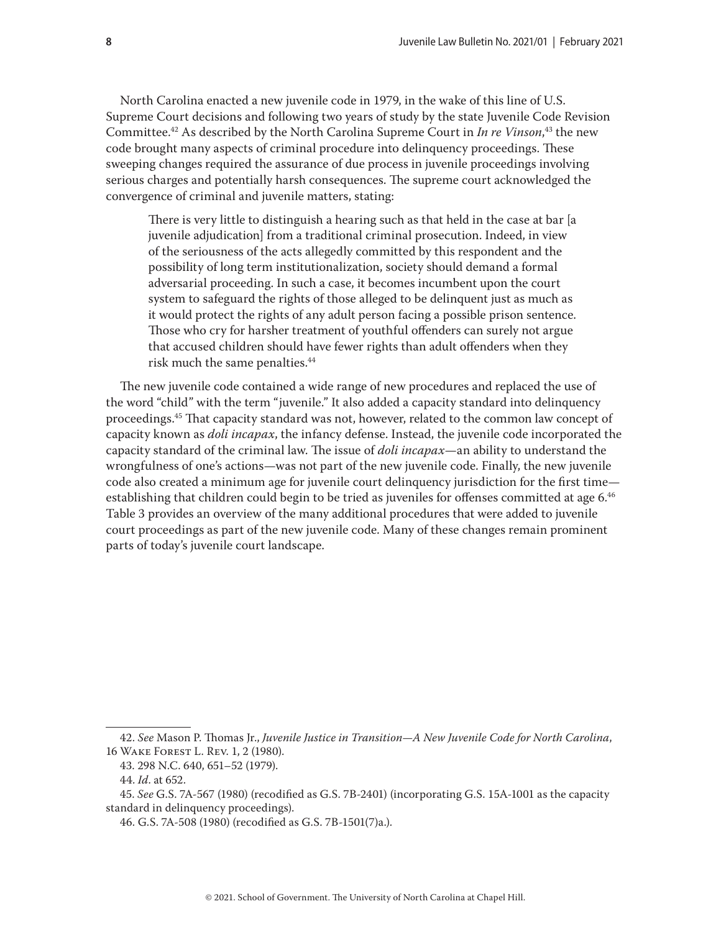North Carolina enacted a new juvenile code in 1979, in the wake of this line of U.S. Supreme Court decisions and following two years of study by the state Juvenile Code Revision Committee.42 As described by the North Carolina Supreme Court in *In re Vinson*, 43 the new code brought many aspects of criminal procedure into delinquency proceedings. These sweeping changes required the assurance of due process in juvenile proceedings involving serious charges and potentially harsh consequences. The supreme court acknowledged the convergence of criminal and juvenile matters, stating:

There is very little to distinguish a hearing such as that held in the case at bar [a juvenile adjudication] from a traditional criminal prosecution. Indeed, in view of the seriousness of the acts allegedly committed by this respondent and the possibility of long term institutionalization, society should demand a formal adversarial proceeding. In such a case, it becomes incumbent upon the court system to safeguard the rights of those alleged to be delinquent just as much as it would protect the rights of any adult person facing a possible prison sentence. Those who cry for harsher treatment of youthful offenders can surely not argue that accused children should have fewer rights than adult offenders when they risk much the same penalties.<sup>44</sup>

The new juvenile code contained a wide range of new procedures and replaced the use of the word "child" with the term "juvenile." It also added a capacity standard into delinquency proceedings.45 That capacity standard was not, however, related to the common law concept of capacity known as *doli incapax*, the infancy defense. Instead, the juvenile code incorporated the capacity standard of the criminal law. The issue of *doli incapax*—an ability to understand the wrongfulness of one's actions—was not part of the new juvenile code. Finally, the new juvenile code also created a minimum age for juvenile court delinquency jurisdiction for the first time establishing that children could begin to be tried as juveniles for offenses committed at age 6.46 Table 3 provides an overview of the many additional procedures that were added to juvenile court proceedings as part of the new juvenile code. Many of these changes remain prominent parts of today's juvenile court landscape.

<sup>42.</sup> *See* Mason P. Thomas Jr., *Juvenile Justice in Transition—A New Juvenile Code for North Carolina*, 16 Wake Forest L. Rev. 1, 2 (1980).

<sup>43. 298</sup> N.C. 640, 651–52 (1979).

<sup>44.</sup> *Id*. at 652.

<sup>45.</sup> *See* G.S. 7A-567 (1980) (recodified as G.S. 7B-2401) (incorporating G.S. 15A-1001 as the capacity standard in delinquency proceedings).

<sup>46.</sup> G.S. 7A-508 (1980) (recodified as G.S. 7B-1501(7)a.).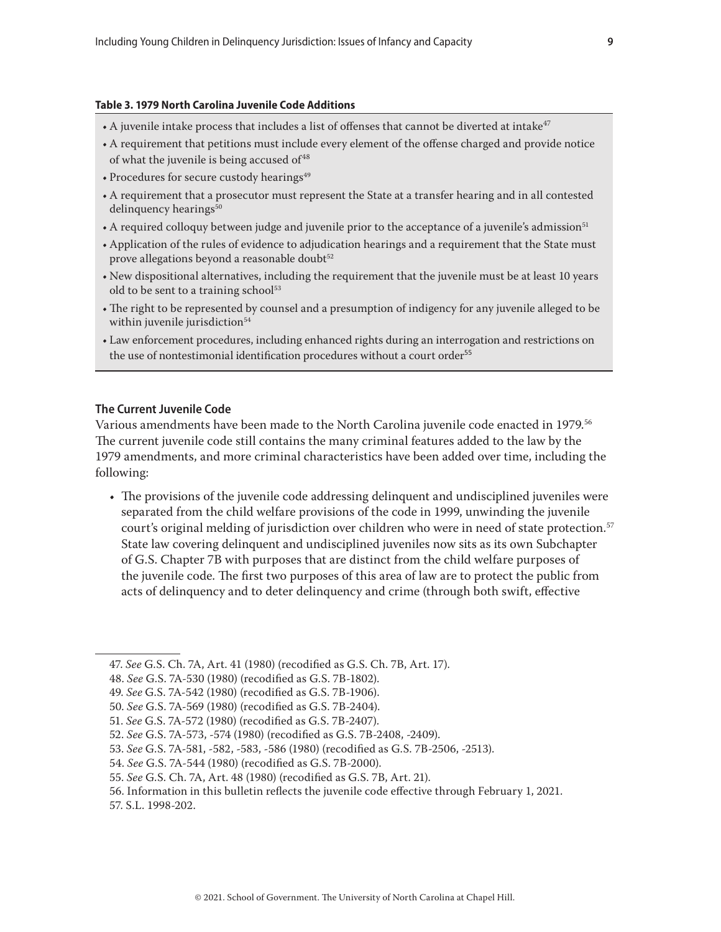#### <span id="page-8-0"></span>**Table 3. 1979 North Carolina Juvenile Code Additions**

- $\bullet$  A juvenile intake process that includes a list of offenses that cannot be diverted at intake<sup>47</sup>
- A requirement that petitions must include every element of the offense charged and provide notice of what the juvenile is being accused of <sup>48</sup>
- Procedures for secure custody hearings $49$
- A requirement that a prosecutor must represent the State at a transfer hearing and in all contested delinquency hearings<sup>50</sup>
- A required colloquy between judge and juvenile prior to the acceptance of a juvenile's admission<sup>51</sup>
- Application of the rules of evidence to adjudication hearings and a requirement that the State must prove allegations beyond a reasonable doubt<sup>52</sup>
- New dispositional alternatives, including the requirement that the juvenile must be at least 10 years old to be sent to a training school<sup>53</sup>
- The right to be represented by counsel and a presumption of indigency for any juvenile alleged to be within juvenile jurisdiction<sup>54</sup>
- Law enforcement procedures, including enhanced rights during an interrogation and restrictions on the use of nontestimonial identification procedures without a court order<sup>55</sup>

## **The Current Juvenile Code**

Various amendments have been made to the North Carolina juvenile code enacted in 1979.<sup>56</sup> The current juvenile code still contains the many criminal features added to the law by the 1979 amendments, and more criminal characteristics have been added over time, including the following:

• The provisions of the juvenile code addressing delinquent and undisciplined juveniles were separated from the child welfare provisions of the code in 1999, unwinding the juvenile court's original melding of jurisdiction over children who were in need of state protection.<sup>57</sup> State law covering delinquent and undisciplined juveniles now sits as its own Subchapter of G.S. Chapter 7B with purposes that are distinct from the child welfare purposes of the juvenile code. The first two purposes of this area of law are to protect the public from acts of delinquency and to deter delinquency and crime (through both swift, effective

55. *See* G.S. Ch. 7A, Art. 48 (1980) (recodified as G.S. 7B, Art. 21).

<sup>47.</sup> *See* G.S. Ch. 7A, Art. 41 (1980) (recodified as G.S. Ch. 7B, Art. 17).

<sup>48.</sup> *See* G.S. 7A-530 (1980) (recodified as G.S. 7B-1802).

<sup>49.</sup> *See* G.S. 7A-542 (1980) (recodified as G.S. 7B-1906).

<sup>50.</sup> *See* G.S. 7A-569 (1980) (recodified as G.S. 7B-2404).

<sup>51.</sup> *See* G.S. 7A-572 (1980) (recodified as G.S. 7B-2407).

<sup>52.</sup> *See* G.S. 7A-573, -574 (1980) (recodified as G.S. 7B-2408, -2409).

<sup>53.</sup> *See* G.S. 7A-581, -582, -583, -586 (1980) (recodified as G.S. 7B-2506, -2513).

<sup>54.</sup> *See* G.S. 7A-544 (1980) (recodified as G.S. 7B-2000).

<sup>56.</sup> Information in this bulletin reflects the juvenile code effective through February 1, 2021.

<sup>57.</sup> S.L. 1998-202.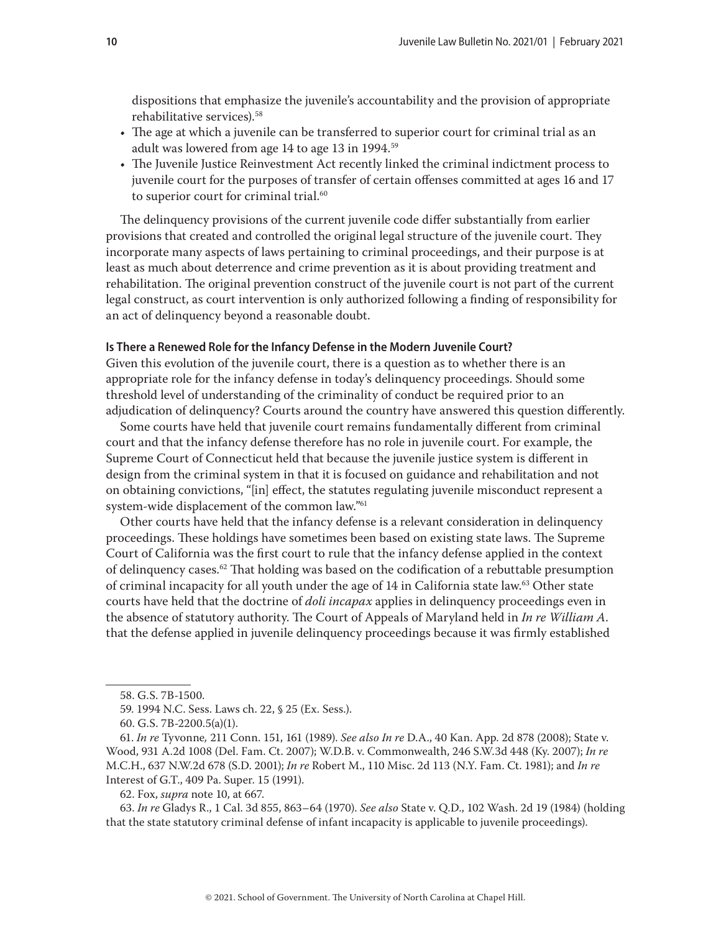<span id="page-9-0"></span>dispositions that emphasize the juvenile's accountability and the provision of appropriate rehabilitative services).58

- The age at which a juvenile can be transferred to superior court for criminal trial as an adult was lowered from age 14 to age 13 in 1994.<sup>59</sup>
- The Juvenile Justice Reinvestment Act recently linked the criminal indictment process to juvenile court for the purposes of transfer of certain offenses committed at ages 16 and 17 to superior court for criminal trial.<sup>60</sup>

The delinquency provisions of the current juvenile code differ substantially from earlier provisions that created and controlled the original legal structure of the juvenile court. They incorporate many aspects of laws pertaining to criminal proceedings, and their purpose is at least as much about deterrence and crime prevention as it is about providing treatment and rehabilitation. The original prevention construct of the juvenile court is not part of the current legal construct, as court intervention is only authorized following a finding of responsibility for an act of delinquency beyond a reasonable doubt.

#### **Is There a Renewed Role for the Infancy Defense in the Modern Juvenile Court?**

Given this evolution of the juvenile court, there is a question as to whether there is an appropriate role for the infancy defense in today's delinquency proceedings. Should some threshold level of understanding of the criminality of conduct be required prior to an adjudication of delinquency? Courts around the country have answered this question differently.

Some courts have held that juvenile court remains fundamentally different from criminal court and that the infancy defense therefore has no role in juvenile court. For example, the Supreme Court of Connecticut held that because the juvenile justice system is different in design from the criminal system in that it is focused on guidance and rehabilitation and not on obtaining convictions, "[in] effect, the statutes regulating juvenile misconduct represent a system-wide displacement of the common law."61

Other courts have held that the infancy defense is a relevant consideration in delinquency proceedings. These holdings have sometimes been based on existing state laws. The Supreme Court of California was the first court to rule that the infancy defense applied in the context of delinquency cases.<sup>62</sup> That holding was based on the codification of a rebuttable presumption of criminal incapacity for all youth under the age of 14 in California state law.63 Other state courts have held that the doctrine of *doli incapax* applies in delinquency proceedings even in the absence of statutory authority. The Court of Appeals of Maryland held in *In re William A*. that the defense applied in juvenile delinquency proceedings because it was firmly established

62. Fox, *supra* note 10, at 667.

63. *In re* Gladys R., 1 Cal. 3d 855, 863–64 (1970). *See also* State v. Q.D., 102 Wash. 2d 19 (1984) (holding that the state statutory criminal defense of infant incapacity is applicable to juvenile proceedings).

<sup>58.</sup> G.S. 7B-1500.

<sup>59. 1994</sup> N.C. Sess. Laws ch. 22, § 25 (Ex. Sess.).

<sup>60.</sup> G.S. 7B-2200.5(a)(1).

<sup>61.</sup> *In re* Tyvonne*,* 211 Conn. 151, 161 (1989). *See also In re* D.A., 40 Kan. App. 2d 878 (2008); State v. Wood, 931 A.2d 1008 (Del. Fam. Ct. 2007); W.D.B. v. Commonwealth, 246 S.W.3d 448 (Ky. 2007); *In re*  M.C.H., 637 N.W.2d 678 (S.D. 2001); *In re* Robert M., 110 Misc. 2d 113 (N.Y. Fam. Ct. 1981); and *In re*  Interest of G.T., 409 Pa. Super. 15 (1991).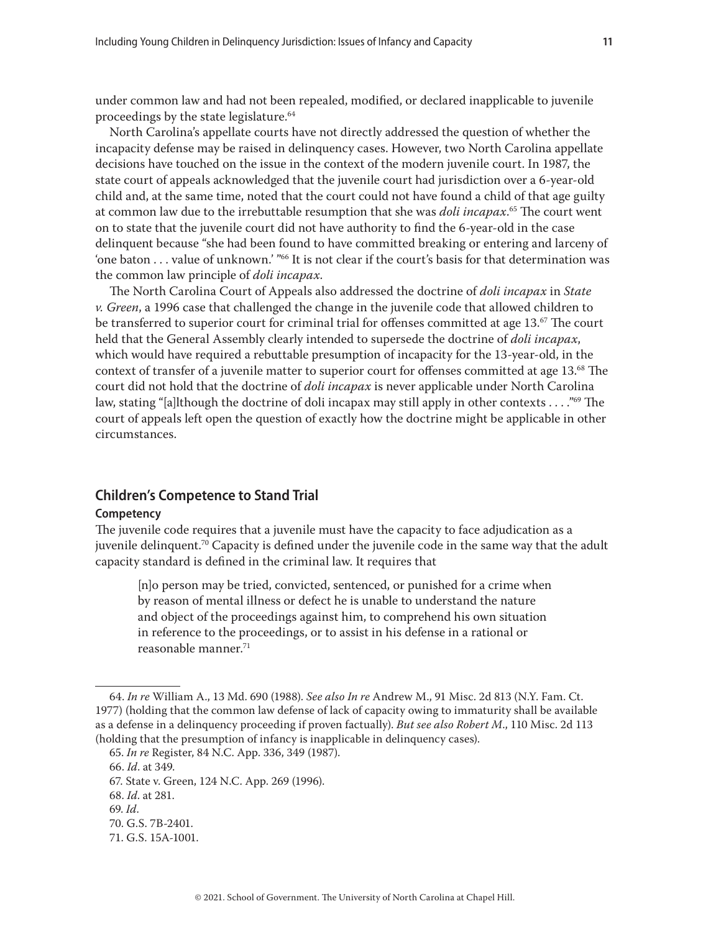<span id="page-10-0"></span>under common law and had not been repealed, modified, or declared inapplicable to juvenile proceedings by the state legislature.<sup>64</sup>

North Carolina's appellate courts have not directly addressed the question of whether the incapacity defense may be raised in delinquency cases. However, two North Carolina appellate decisions have touched on the issue in the context of the modern juvenile court. In 1987, the state court of appeals acknowledged that the juvenile court had jurisdiction over a 6-year-old child and, at the same time, noted that the court could not have found a child of that age guilty at common law due to the irrebuttable resumption that she was *doli incapax*. 65 The court went on to state that the juvenile court did not have authority to find the 6-year-old in the case delinquent because "she had been found to have committed breaking or entering and larceny of 'one baton . . . value of unknown.' " $66$  It is not clear if the court's basis for that determination was the common law principle of *doli incapax*.

The North Carolina Court of Appeals also addressed the doctrine of *doli incapax* in *State v. Green*, a 1996 case that challenged the change in the juvenile code that allowed children to be transferred to superior court for criminal trial for offenses committed at age  $13.^{67}$  The court held that the General Assembly clearly intended to supersede the doctrine of *doli incapax*, which would have required a rebuttable presumption of incapacity for the 13-year-old, in the context of transfer of a juvenile matter to superior court for offenses committed at age 13.68 The court did not hold that the doctrine of *doli incapax* is never applicable under North Carolina law, stating "[a]lthough the doctrine of doli incapax may still apply in other contexts . . . . . . . . . . . 99 court of appeals left open the question of exactly how the doctrine might be applicable in other circumstances.

## **Children's Competence to Stand Trial**

#### **Competency**

The juvenile code requires that a juvenile must have the capacity to face adjudication as a juvenile delinquent.<sup>70</sup> Capacity is defined under the juvenile code in the same way that the adult capacity standard is defined in the criminal law. It requires that

[n]o person may be tried, convicted, sentenced, or punished for a crime when by reason of mental illness or defect he is unable to understand the nature and object of the proceedings against him, to comprehend his own situation in reference to the proceedings, or to assist in his defense in a rational or reasonable manner.71

<sup>64.</sup> *In re* William A., 13 Md. 690 (1988). *See also In re* Andrew M., 91 Misc. 2d 813 (N.Y. Fam. Ct. 1977) (holding that the common law defense of lack of capacity owing to immaturity shall be available as a defense in a delinquency proceeding if proven factually). *But see also Robert M*., 110 Misc. 2d 113 (holding that the presumption of infancy is inapplicable in delinquency cases).

<sup>65.</sup> *In re* Register, 84 N.C. App. 336, 349 (1987).

<sup>66.</sup> *Id*. at 349.

<sup>67.</sup> State v. Green, 124 N.C. App. 269 (1996).

<sup>68.</sup> *Id*. at 281.

<sup>69.</sup> *Id*.

<sup>70.</sup> G.S. 7B-2401.

<sup>71.</sup> G.S. 15A-1001.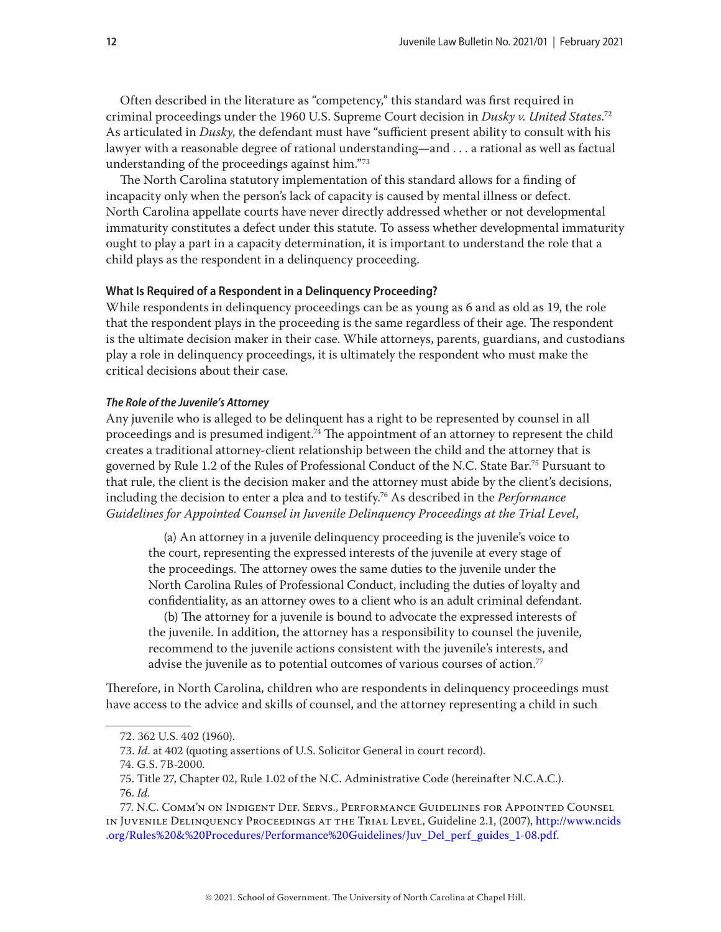<span id="page-11-0"></span>Often described in the literature as "competency," this standard was first required in criminal proceedings under the 1960 U.S. Supreme Court decision in *Dusky v. United States*. 72 As articulated in *Dusky*, the defendant must have "sufficient present ability to consult with his lawyer with a reasonable degree of rational understanding—and . . . a rational as well as factual understanding of the proceedings against him."73

The North Carolina statutory implementation of this standard allows for a finding of incapacity only when the person's lack of capacity is caused by mental illness or defect. North Carolina appellate courts have never directly addressed whether or not developmental immaturity constitutes a defect under this statute. To assess whether developmental immaturity ought to play a part in a capacity determination, it is important to understand the role that a child plays as the respondent in a delinquency proceeding.

#### **What Is Required of a Respondent in a Delinquency Proceeding?**

While respondents in delinquency proceedings can be as young as 6 and as old as 19, the role that the respondent plays in the proceeding is the same regardless of their age. The respondent is the ultimate decision maker in their case. While attorneys, parents, guardians, and custodians play a role in delinquency proceedings, it is ultimately the respondent who must make the critical decisions about their case.

#### *The Role of the Juvenile's Attorney*

Any juvenile who is alleged to be delinquent has a right to be represented by counsel in all proceedings and is presumed indigent.<sup>74</sup> The appointment of an attorney to represent the child creates a traditional attorney-client relationship between the child and the attorney that is governed by Rule 1.2 of the Rules of Professional Conduct of the N.C. State Bar.75 Pursuant to that rule, the client is the decision maker and the attorney must abide by the client's decisions, including the decision to enter a plea and to testify.76 As described in the *Performance Guidelines for Appointed Counsel in Juvenile Delinquency Proceedings at the Trial Level*,

(a) An attorney in a juvenile delinquency proceeding is the juvenile's voice to the court, representing the expressed interests of the juvenile at every stage of the proceedings. The attorney owes the same duties to the juvenile under the North Carolina Rules of Professional Conduct, including the duties of loyalty and confidentiality, as an attorney owes to a client who is an adult criminal defendant.

(b) The attorney for a juvenile is bound to advocate the expressed interests of the juvenile. In addition, the attorney has a responsibility to counsel the juvenile, recommend to the juvenile actions consistent with the juvenile's interests, and advise the juvenile as to potential outcomes of various courses of action.<sup>77</sup>

Therefore, in North Carolina, children who are respondents in delinquency proceedings must have access to the advice and skills of counsel, and the attorney representing a child in such

<sup>72. 362</sup> U.S. 402 (1960).

<sup>73.</sup> *Id*. at 402 (quoting assertions of U.S. Solicitor General in court record).

<sup>74.</sup> G.S. 7B-2000.

<sup>75.</sup> Title 27, Chapter 02, Rule 1.02 of the N.C. Administrative Code (hereinafter N.C.A.C.).

<sup>76.</sup> *Id*.

<sup>77.</sup> N.C. Comm'n on Indigent Def. Servs., Performance Guidelines for Appointed Counsel in Juvenile Delinquency Proceedings at the Trial Level, Guideline 2.1, (2007), [http://www.ncids](http://www.ncids.org/Rules%20&%20Procedures/Performance%20Guidelines/Juv_Del_perf_guides_1-08.pdf) [.org/Rules%20&%20Procedures/Performance%20Guidelines/Juv\\_Del\\_perf\\_guides\\_1-08.pdf.](http://www.ncids.org/Rules%20&%20Procedures/Performance%20Guidelines/Juv_Del_perf_guides_1-08.pdf)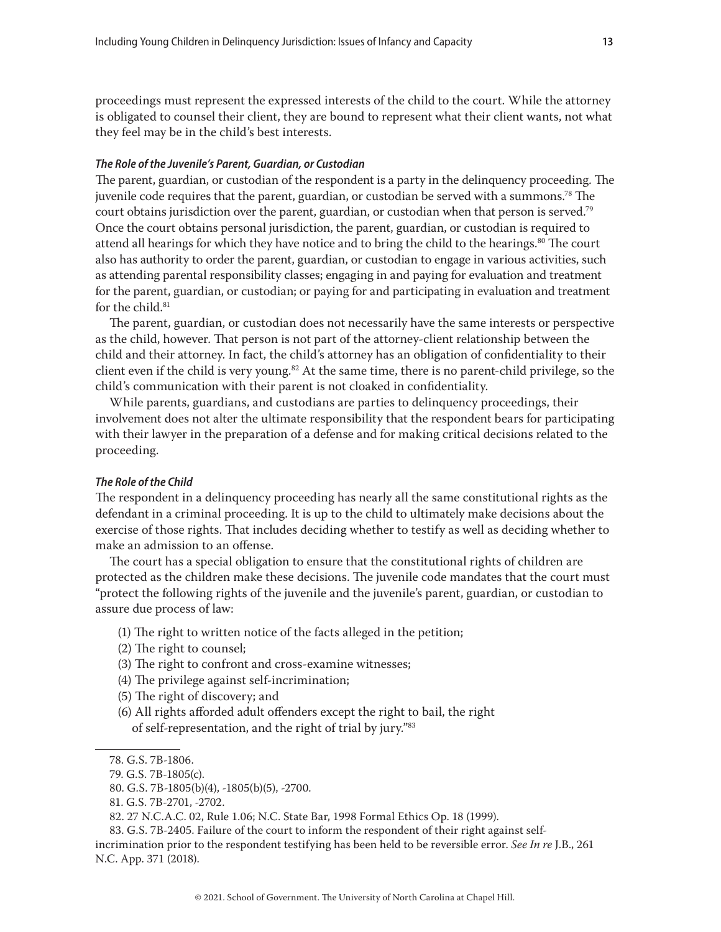<span id="page-12-0"></span>proceedings must represent the expressed interests of the child to the court. While the attorney is obligated to counsel their client, they are bound to represent what their client wants, not what they feel may be in the child's best interests.

#### *The Role of the Juvenile's Parent, Guardian, or Custodian*

The parent, guardian, or custodian of the respondent is a party in the delinquency proceeding. The juvenile code requires that the parent, guardian, or custodian be served with a summons.<sup>78</sup> The court obtains jurisdiction over the parent, guardian, or custodian when that person is served.<sup>79</sup> Once the court obtains personal jurisdiction, the parent, guardian, or custodian is required to attend all hearings for which they have notice and to bring the child to the hearings. $80$  The court also has authority to order the parent, guardian, or custodian to engage in various activities, such as attending parental responsibility classes; engaging in and paying for evaluation and treatment for the parent, guardian, or custodian; or paying for and participating in evaluation and treatment for the child.<sup>81</sup>

The parent, guardian, or custodian does not necessarily have the same interests or perspective as the child, however. That person is not part of the attorney-client relationship between the child and their attorney. In fact, the child's attorney has an obligation of confidentiality to their client even if the child is very young.<sup>82</sup> At the same time, there is no parent-child privilege, so the child's communication with their parent is not cloaked in confidentiality.

While parents, guardians, and custodians are parties to delinquency proceedings, their involvement does not alter the ultimate responsibility that the respondent bears for participating with their lawyer in the preparation of a defense and for making critical decisions related to the proceeding.

## *The Role of the Child*

The respondent in a delinquency proceeding has nearly all the same constitutional rights as the defendant in a criminal proceeding. It is up to the child to ultimately make decisions about the exercise of those rights. That includes deciding whether to testify as well as deciding whether to make an admission to an offense.

The court has a special obligation to ensure that the constitutional rights of children are protected as the children make these decisions. The juvenile code mandates that the court must "protect the following rights of the juvenile and the juvenile's parent, guardian, or custodian to assure due process of law:

- (1) The right to written notice of the facts alleged in the petition;
- (2) The right to counsel;
- (3) The right to confront and cross-examine witnesses;
- (4) The privilege against self-incrimination;
- (5) The right of discovery; and
- (6) All rights afforded adult offenders except the right to bail, the right of self-representation, and the right of trial by jury."83

<sup>78.</sup> G.S. 7B-1806.

<sup>79.</sup> G.S. 7B-1805(c).

<sup>80.</sup> G.S. 7B-1805(b)(4), -1805(b)(5), -2700.

<sup>81.</sup> G.S. 7B-2701, -2702.

<sup>82. 27</sup> N.C.A.C. 02, Rule 1.06; N.C. State Bar, 1998 Formal Ethics Op. 18 (1999).

<sup>83.</sup> G.S. 7B-2405. Failure of the court to inform the respondent of their right against selfincrimination prior to the respondent testifying has been held to be reversible error. *See In re* J.B., 261 N.C. App. 371 (2018).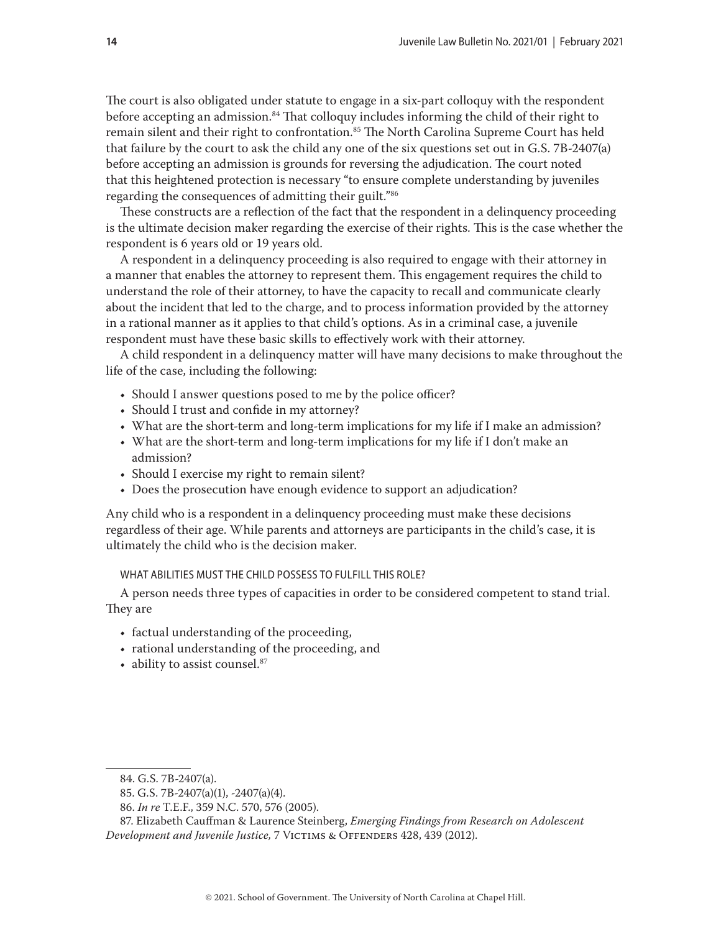<span id="page-13-0"></span>The court is also obligated under statute to engage in a six-part colloquy with the respondent before accepting an admission.<sup>84</sup> That colloquy includes informing the child of their right to remain silent and their right to confrontation.<sup>85</sup> The North Carolina Supreme Court has held that failure by the court to ask the child any one of the six questions set out in G.S. 7B-2407(a) before accepting an admission is grounds for reversing the adjudication. The court noted that this heightened protection is necessary "to ensure complete understanding by juveniles regarding the consequences of admitting their guilt."86

These constructs are a reflection of the fact that the respondent in a delinquency proceeding is the ultimate decision maker regarding the exercise of their rights. This is the case whether the respondent is 6 years old or 19 years old.

A respondent in a delinquency proceeding is also required to engage with their attorney in a manner that enables the attorney to represent them. This engagement requires the child to understand the role of their attorney, to have the capacity to recall and communicate clearly about the incident that led to the charge, and to process information provided by the attorney in a rational manner as it applies to that child's options. As in a criminal case, a juvenile respondent must have these basic skills to effectively work with their attorney.

A child respondent in a delinquency matter will have many decisions to make throughout the life of the case, including the following:

- Should I answer questions posed to me by the police officer?
- Should I trust and confide in my attorney?
- What are the short-term and long-term implications for my life if I make an admission?
- What are the short-term and long-term implications for my life if I don't make an admission?
- Should I exercise my right to remain silent?
- Does the prosecution have enough evidence to support an adjudication?

Any child who is a respondent in a delinquency proceeding must make these decisions regardless of their age. While parents and attorneys are participants in the child's case, it is ultimately the child who is the decision maker.

#### WHAT ABILITIES MUST THE CHILD POSSESS TO FULFILL THIS ROLE?

A person needs three types of capacities in order to be considered competent to stand trial. They are

- factual understanding of the proceeding,
- rational understanding of the proceeding, and
- ability to assist counsel.<sup>87</sup>

<sup>84.</sup> G.S. 7B-2407(a).

<sup>85.</sup> G.S. 7B-2407(a)(1), -2407(a)(4).

<sup>86.</sup> *In re* T.E.F., 359 N.C. 570, 576 (2005).

<sup>87.</sup> Elizabeth Cauffman & Laurence Steinberg, *Emerging Findings from Research on Adolescent Development and Juvenile Justice,* 7 Victims & Offenders 428, 439 (2012).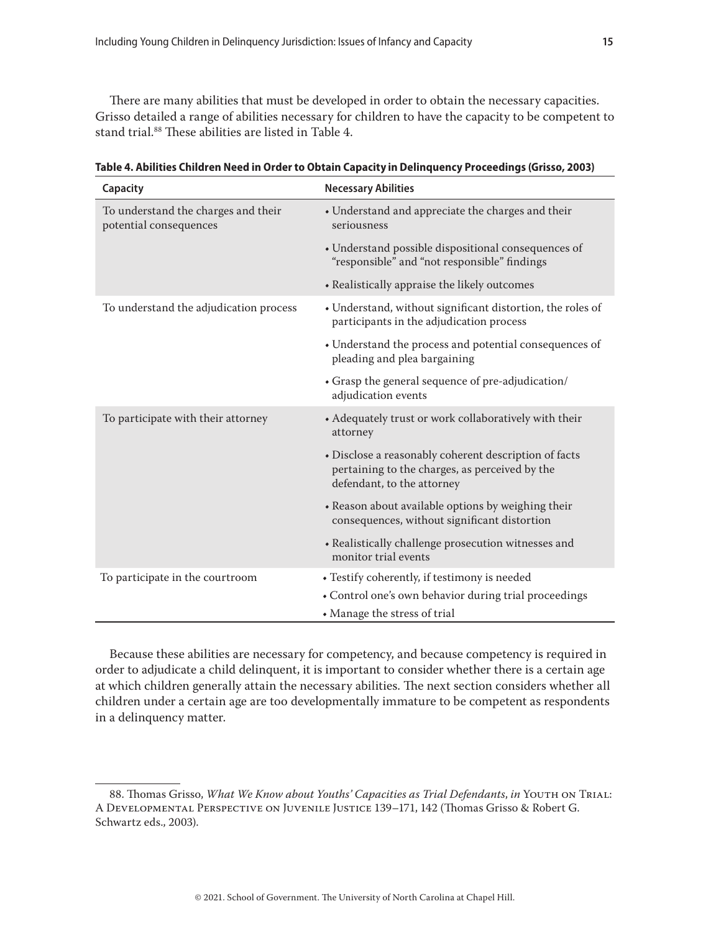There are many abilities that must be developed in order to obtain the necessary capacities. Grisso detailed a range of abilities necessary for children to have the capacity to be competent to stand trial.<sup>88</sup> These abilities are listed in Table 4.

| Capacity                                                      | <b>Necessary Abilities</b>                                                                                                            |
|---------------------------------------------------------------|---------------------------------------------------------------------------------------------------------------------------------------|
| To understand the charges and their<br>potential consequences | • Understand and appreciate the charges and their<br>seriousness                                                                      |
|                                                               | • Understand possible dispositional consequences of<br>"responsible" and "not responsible" findings                                   |
|                                                               | • Realistically appraise the likely outcomes                                                                                          |
| To understand the adjudication process                        | • Understand, without significant distortion, the roles of<br>participants in the adjudication process                                |
|                                                               | • Understand the process and potential consequences of<br>pleading and plea bargaining                                                |
|                                                               | • Grasp the general sequence of pre-adjudication/<br>adjudication events                                                              |
| To participate with their attorney                            | • Adequately trust or work collaboratively with their<br>attorney                                                                     |
|                                                               | • Disclose a reasonably coherent description of facts<br>pertaining to the charges, as perceived by the<br>defendant, to the attorney |
|                                                               | • Reason about available options by weighing their<br>consequences, without significant distortion                                    |
|                                                               | • Realistically challenge prosecution witnesses and<br>monitor trial events                                                           |
| To participate in the courtroom                               | • Testify coherently, if testimony is needed                                                                                          |
|                                                               | • Control one's own behavior during trial proceedings                                                                                 |
|                                                               | • Manage the stress of trial                                                                                                          |

**Table 4. Abilities Children Need in Order to Obtain Capacity in Delinquency Proceedings (Grisso, 2003)**

Because these abilities are necessary for competency, and because competency is required in order to adjudicate a child delinquent, it is important to consider whether there is a certain age at which children generally attain the necessary abilities. The next section considers whether all children under a certain age are too developmentally immature to be competent as respondents in a delinquency matter.

<sup>88.</sup> Thomas Grisso, *What We Know about Youths' Capacities as Trial Defendants*, *in* Youth on Trial: A Developmental Perspective on Juvenile Justice 139–171, 142 (Thomas Grisso & Robert G. Schwartz eds., 2003).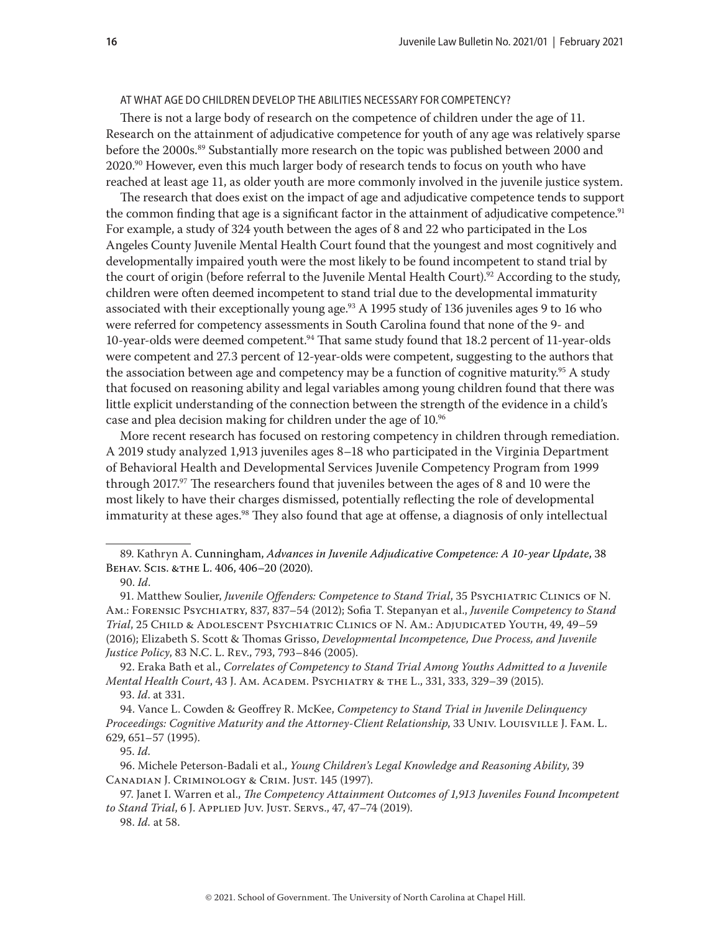## <span id="page-15-0"></span>AT WHAT AGE DO CHILDREN DEVELOP THE ABILITIES NECESSARY FOR COMPETENCY?

There is not a large body of research on the competence of children under the age of 11. Research on the attainment of adjudicative competence for youth of any age was relatively sparse before the 2000s.<sup>89</sup> Substantially more research on the topic was published between 2000 and 2020.<sup>90</sup> However, even this much larger body of research tends to focus on youth who have reached at least age 11, as older youth are more commonly involved in the juvenile justice system.

The research that does exist on the impact of age and adjudicative competence tends to support the common finding that age is a significant factor in the attainment of adjudicative competence.<sup>91</sup> For example, a study of 324 youth between the ages of 8 and 22 who participated in the Los Angeles County Juvenile Mental Health Court found that the youngest and most cognitively and developmentally impaired youth were the most likely to be found incompetent to stand trial by the court of origin (before referral to the Juvenile Mental Health Court).<sup>92</sup> According to the study, children were often deemed incompetent to stand trial due to the developmental immaturity associated with their exceptionally young age.<sup>93</sup> A 1995 study of 136 juveniles ages 9 to 16 who were referred for competency assessments in South Carolina found that none of the 9- and 10-year-olds were deemed competent.94 That same study found that 18.2 percent of 11-year-olds were competent and 27.3 percent of 12-year-olds were competent, suggesting to the authors that the association between age and competency may be a function of cognitive maturity.<sup>95</sup> A study that focused on reasoning ability and legal variables among young children found that there was little explicit understanding of the connection between the strength of the evidence in a child's case and plea decision making for children under the age of 10.96

More recent research has focused on restoring competency in children through remediation. A 2019 study analyzed 1,913 juveniles ages 8–18 who participated in the Virginia Department of Behavioral Health and Developmental Services Juvenile Competency Program from 1999 through 2017.97 The researchers found that juveniles between the ages of 8 and 10 were the most likely to have their charges dismissed, potentially reflecting the role of developmental immaturity at these ages.<sup>98</sup> They also found that age at offense, a diagnosis of only intellectual

92. Eraka Bath et al., *Correlates of Competency to Stand Trial Among Youths Admitted to a Juvenile Mental Health Court*, 43 J. Am. Academ. Psychiatry & the L., 331, 333, 329–39 (2015). 93. *Id*. at 331.

94. Vance L. Cowden & Geoffrey R. McKee, *Competency to Stand Trial in Juvenile Delinquency Proceedings: Cognitive Maturity and the Attorney-Client Relationship*, 33 Univ. Louisville J. Fam. L. 629, 651–57 (1995).

95. *Id*.

96. Michele Peterson-Badali et al., *Young Children's Legal Knowledge and Reasoning Ability*, 39 Canadian J. Criminology & Crim. Just. 145 (1997).

98. *Id.* at 58.

<sup>89.</sup> Kathryn A. Cunningham, *Advances in Juvenile Adjudicative Competence: A 10-year Update*, 38 Behav. Scis. &the L. 406, 406–20 (2020).

<sup>90.</sup> *Id*.

<sup>91.</sup> Matthew Soulier, *Juvenile Offenders: Competence to Stand Trial*, 35 Psychiatric Clinics of N. Am.: Forensic Psychiatry, 837, 837–54 (2012); Sofia T. Stepanyan et al., *Juvenile Competency to Stand Trial*, 25 Child & Adolescent Psychiatric Clinics of N. Am.: Adjudicated Youth, 49, 49–59 (2016); Elizabeth S. Scott & Thomas Grisso, *Developmental Incompetence, Due Process, and Juvenile Justice Policy*, 83 N.C. L. Rev., 793, 793–846 (2005).

<sup>97.</sup> Janet I. Warren et al., *The Competency Attainment Outcomes of 1,913 Juveniles Found Incompetent to Stand Trial*, 6 J. Applied Juv. Just. Servs., 47, 47–74 (2019).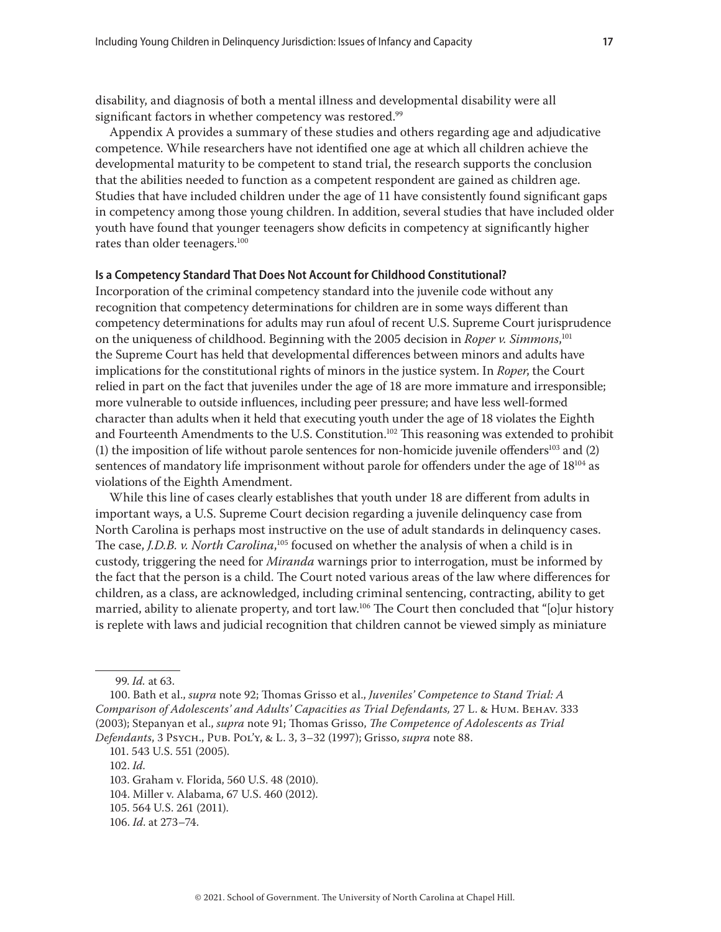<span id="page-16-0"></span>disability, and diagnosis of both a mental illness and developmental disability were all significant factors in whether competency was restored.<sup>99</sup>

Appendix A provides a summary of these studies and others regarding age and adjudicative competence. While researchers have not identified one age at which all children achieve the developmental maturity to be competent to stand trial, the research supports the conclusion that the abilities needed to function as a competent respondent are gained as children age. Studies that have included children under the age of 11 have consistently found significant gaps in competency among those young children. In addition, several studies that have included older youth have found that younger teenagers show deficits in competency at significantly higher rates than older teenagers.<sup>100</sup>

#### **Is a Competency Standard That Does Not Account for Childhood Constitutional?**

Incorporation of the criminal competency standard into the juvenile code without any recognition that competency determinations for children are in some ways different than competency determinations for adults may run afoul of recent U.S. Supreme Court jurisprudence on the uniqueness of childhood. Beginning with the 2005 decision in *Roper v. Simmons*, 101 the Supreme Court has held that developmental differences between minors and adults have implications for the constitutional rights of minors in the justice system. In *Roper*, the Court relied in part on the fact that juveniles under the age of 18 are more immature and irresponsible; more vulnerable to outside influences, including peer pressure; and have less well-formed character than adults when it held that executing youth under the age of 18 violates the Eighth and Fourteenth Amendments to the U.S. Constitution.<sup>102</sup> This reasoning was extended to prohibit (1) the imposition of life without parole sentences for non-homicide juvenile offenders<sup>103</sup> and  $(2)$ sentences of mandatory life imprisonment without parole for offenders under the age of 18<sup>104</sup> as violations of the Eighth Amendment.

While this line of cases clearly establishes that youth under 18 are different from adults in important ways, a U.S. Supreme Court decision regarding a juvenile delinquency case from North Carolina is perhaps most instructive on the use of adult standards in delinquency cases. The case, *J.D.B. v. North Carolina*,<sup>105</sup> focused on whether the analysis of when a child is in custody, triggering the need for *Miranda* warnings prior to interrogation, must be informed by the fact that the person is a child. The Court noted various areas of the law where differences for children, as a class, are acknowledged, including criminal sentencing, contracting, ability to get married, ability to alienate property, and tort law.<sup>106</sup> The Court then concluded that "[o]ur history is replete with laws and judicial recognition that children cannot be viewed simply as miniature

<sup>99.</sup> *Id.* at 63.

<sup>100.</sup> Bath et al., *supra* note 92; Thomas Grisso et al., *Juveniles' Competence to Stand Trial: A Comparison of Adolescents' and Adults' Capacities as Trial Defendants,* 27 L. & Hum. Behav. 333 (2003); Stepanyan et al., *supra* note 91; Thomas Grisso, *The Competence of Adolescents as Trial Defendants*, 3 Psych., Pub. Pol'y, & L. 3, 3–32 (1997); Grisso, *supra* note 88.

<sup>101. 543</sup> U.S. 551 (2005).

<sup>102.</sup> *Id.*

<sup>103.</sup> Graham v. Florida, 560 U.S. 48 (2010).

<sup>104.</sup> Miller v. Alabama, 67 U.S. 460 (2012).

<sup>105. 564</sup> U.S. 261 (2011).

<sup>106.</sup> *Id*. at 273–74.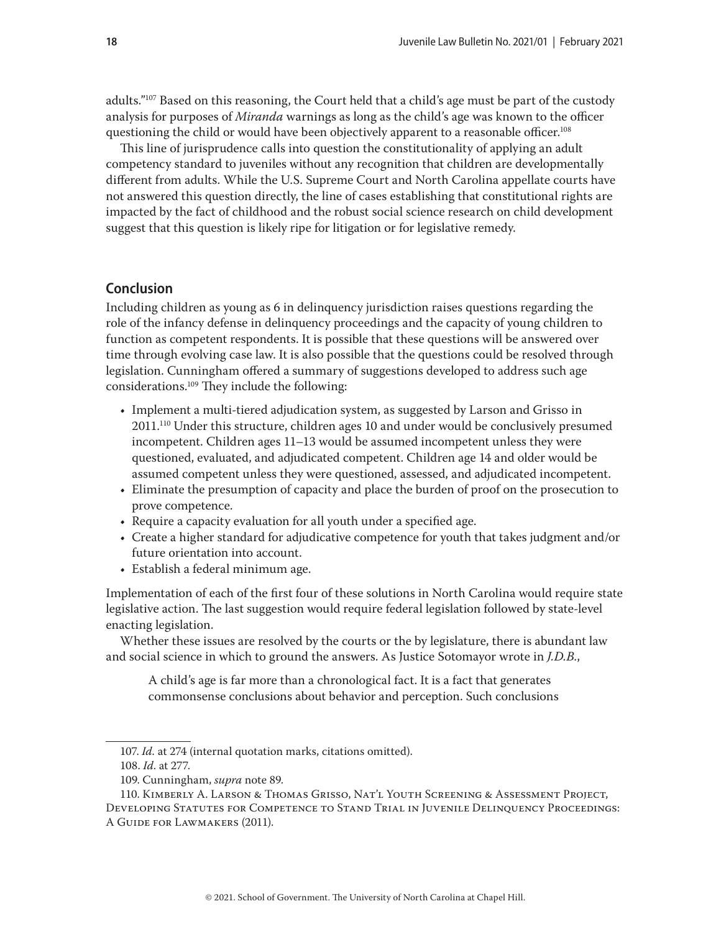<span id="page-17-0"></span>adults."<sup>107</sup> Based on this reasoning, the Court held that a child's age must be part of the custody analysis for purposes of *Miranda* warnings as long as the child's age was known to the officer questioning the child or would have been objectively apparent to a reasonable officer.<sup>108</sup>

This line of jurisprudence calls into question the constitutionality of applying an adult competency standard to juveniles without any recognition that children are developmentally different from adults. While the U.S. Supreme Court and North Carolina appellate courts have not answered this question directly, the line of cases establishing that constitutional rights are impacted by the fact of childhood and the robust social science research on child development suggest that this question is likely ripe for litigation or for legislative remedy.

## **Conclusion**

Including children as young as 6 in delinquency jurisdiction raises questions regarding the role of the infancy defense in delinquency proceedings and the capacity of young children to function as competent respondents. It is possible that these questions will be answered over time through evolving case law. It is also possible that the questions could be resolved through legislation. Cunningham offered a summary of suggestions developed to address such age considerations.109 They include the following:

- Implement a multi-tiered adjudication system, as suggested by Larson and Grisso in 2011.110 Under this structure, children ages 10 and under would be conclusively presumed incompetent. Children ages 11–13 would be assumed incompetent unless they were questioned, evaluated, and adjudicated competent. Children age 14 and older would be assumed competent unless they were questioned, assessed, and adjudicated incompetent.
- Eliminate the presumption of capacity and place the burden of proof on the prosecution to prove competence.
- Require a capacity evaluation for all youth under a specified age.
- Create a higher standard for adjudicative competence for youth that takes judgment and/or future orientation into account.
- Establish a federal minimum age.

Implementation of each of the first four of these solutions in North Carolina would require state legislative action. The last suggestion would require federal legislation followed by state-level enacting legislation.

Whether these issues are resolved by the courts or the by legislature, there is abundant law and social science in which to ground the answers. As Justice Sotomayor wrote in *J.D.B.*,

A child's age is far more than a chronological fact. It is a fact that generates commonsense conclusions about behavior and perception. Such conclusions

108. *Id*. at 277.

<sup>107.</sup> *Id.* at 274 (internal quotation marks, citations omitted).

<sup>109.</sup> Cunningham, *supra* note 89.

<sup>110.</sup> Kimberly A. Larson & Thomas Grisso, Nat'l Youth Screening & Assessment Project, Developing Statutes for Competence to Stand Trial in Juvenile Delinquency Proceedings: A Guide for Lawmakers (2011).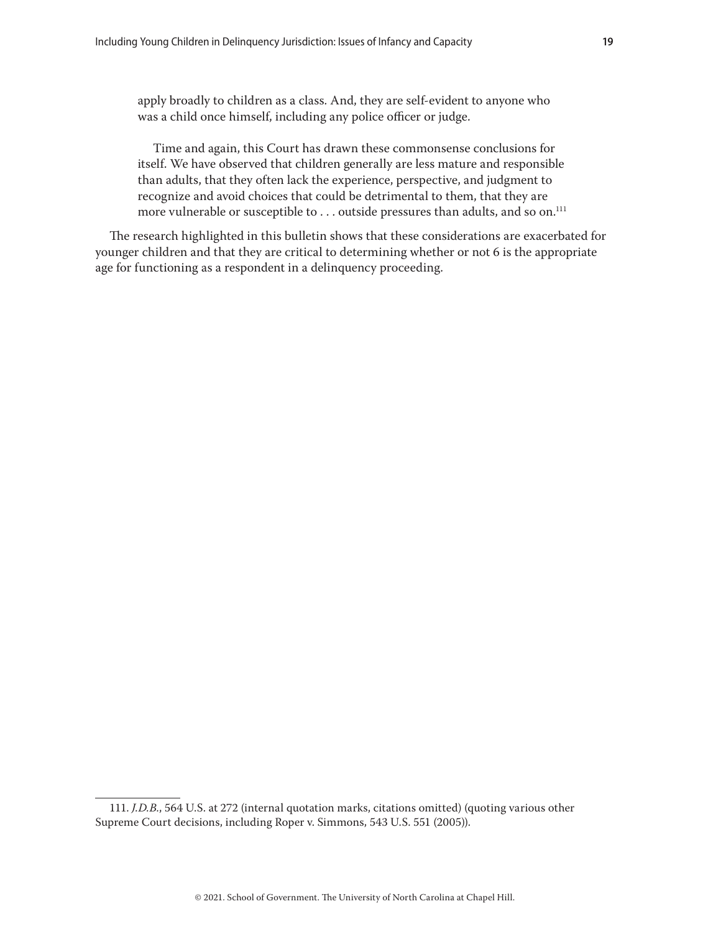apply broadly to children as a class. And, they are self-evident to anyone who was a child once himself, including any police officer or judge.

Time and again, this Court has drawn these commonsense conclusions for itself. We have observed that children generally are less mature and responsible than adults, that they often lack the experience, perspective, and judgment to recognize and avoid choices that could be detrimental to them, that they are more vulnerable or susceptible to . . . outside pressures than adults, and so on.<sup>111</sup>

The research highlighted in this bulletin shows that these considerations are exacerbated for younger children and that they are critical to determining whether or not 6 is the appropriate age for functioning as a respondent in a delinquency proceeding.

<sup>111.</sup> *J.D.B.*, 564 U.S. at 272 (internal quotation marks, citations omitted) (quoting various other Supreme Court decisions, including Roper v. Simmons, 543 U.S. 551 (2005)).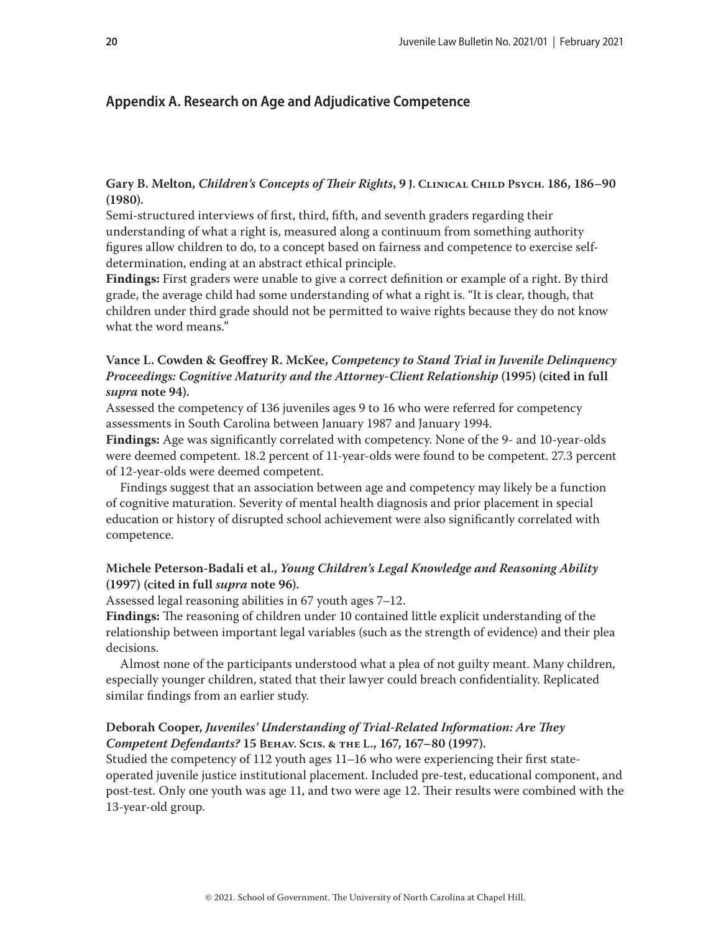# <span id="page-19-0"></span>**Appendix A. Research on Age and Adjudicative Competence**

**Gary B. Melton,** *Children's Concepts of Their Rights***, 9 J. Clinical Child Psych. 186, 186–90 (1980).**

Semi-structured interviews of first, third, fifth, and seventh graders regarding their understanding of what a right is, measured along a continuum from something authority figures allow children to do, to a concept based on fairness and competence to exercise selfdetermination, ending at an abstract ethical principle.

**Findings:** First graders were unable to give a correct definition or example of a right. By third grade, the average child had some understanding of what a right is. "It is clear, though, that children under third grade should not be permitted to waive rights because they do not know what the word means."

## **Vance L. Cowden & Geoffrey R. McKee,** *Competency to Stand Trial in Juvenile Delinquency Proceedings: Cognitive Maturity and the Attorney-Client Relationship* **(1995) (cited in full**  *supra* **note 94).**

Assessed the competency of 136 juveniles ages 9 to 16 who were referred for competency assessments in South Carolina between January 1987 and January 1994.

**Findings:** Age was significantly correlated with competency. None of the 9- and 10-year-olds were deemed competent. 18.2 percent of 11-year-olds were found to be competent. 27.3 percent of 12-year-olds were deemed competent.

Findings suggest that an association between age and competency may likely be a function of cognitive maturation. Severity of mental health diagnosis and prior placement in special education or history of disrupted school achievement were also significantly correlated with competence.

## **Michele Peterson-Badali et al.,** *Young Children's Legal Knowledge and Reasoning Ability*  **(1997) (cited in full** *supra* **note 96).**

Assessed legal reasoning abilities in 67 youth ages 7–12.

**Findings:** The reasoning of children under 10 contained little explicit understanding of the relationship between important legal variables (such as the strength of evidence) and their plea decisions.

Almost none of the participants understood what a plea of not guilty meant. Many children, especially younger children, stated that their lawyer could breach confidentiality. Replicated similar findings from an earlier study.

## **Deborah Cooper,** *Juveniles' Understanding of Trial-Related Information: Are They Competent Defendants?* **15 Behav. Scis. & the L., 167, 167–80 (1997).**

Studied the competency of 112 youth ages 11–16 who were experiencing their first stateoperated juvenile justice institutional placement. Included pre-test, educational component, and post-test. Only one youth was age 11, and two were age 12. Their results were combined with the 13-year-old group.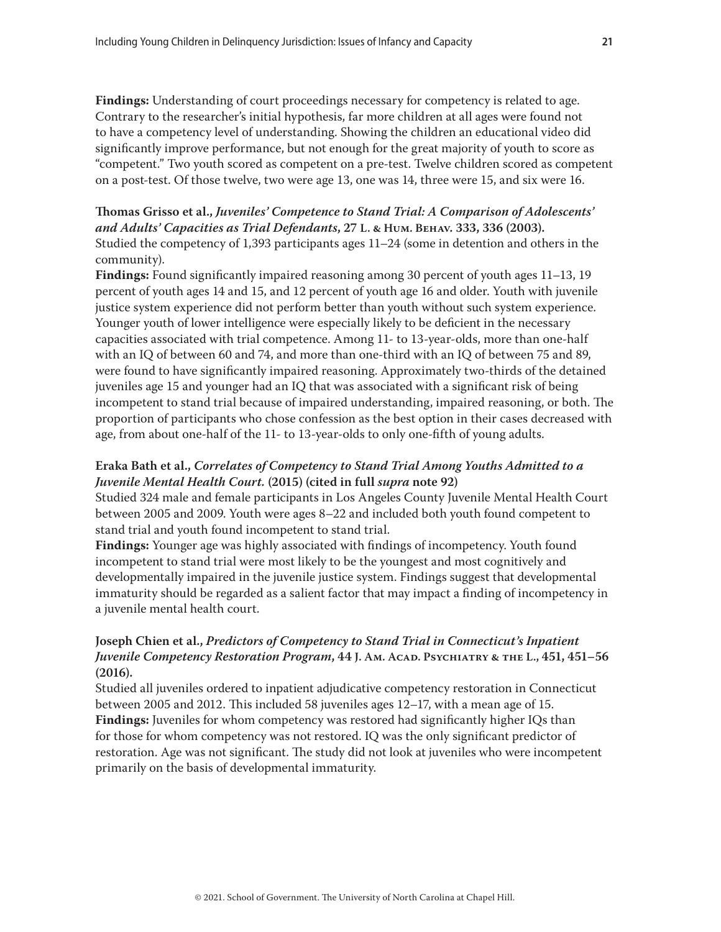**Findings:** Understanding of court proceedings necessary for competency is related to age. Contrary to the researcher's initial hypothesis, far more children at all ages were found not to have a competency level of understanding. Showing the children an educational video did significantly improve performance, but not enough for the great majority of youth to score as "competent." Two youth scored as competent on a pre-test. Twelve children scored as competent on a post-test. Of those twelve, two were age 13, one was 14, three were 15, and six were 16.

# **Thomas Grisso et al.,** *Juveniles' Competence to Stand Trial: A Comparison of Adolescents' and Adults' Capacities as Trial Defendants***, 27 L. & Hum. Behav. 333, 336 (2003).** Studied the competency of 1,393 participants ages 11–24 (some in detention and others in the community).

**Findings:** Found significantly impaired reasoning among 30 percent of youth ages 11–13, 19 percent of youth ages 14 and 15, and 12 percent of youth age 16 and older. Youth with juvenile justice system experience did not perform better than youth without such system experience. Younger youth of lower intelligence were especially likely to be deficient in the necessary capacities associated with trial competence. Among 11- to 13-year-olds, more than one-half with an IQ of between 60 and 74, and more than one-third with an IQ of between 75 and 89, were found to have significantly impaired reasoning. Approximately two-thirds of the detained juveniles age 15 and younger had an IQ that was associated with a significant risk of being incompetent to stand trial because of impaired understanding, impaired reasoning, or both. The proportion of participants who chose confession as the best option in their cases decreased with age, from about one-half of the 11- to 13-year-olds to only one-fifth of young adults.

## **Eraka Bath et al.,** *Correlates of Competency to Stand Trial Among Youths Admitted to a Juvenile Mental Health Court.* **(2015) (cited in full** *supra* **note 92)**

Studied 324 male and female participants in Los Angeles County Juvenile Mental Health Court between 2005 and 2009. Youth were ages 8–22 and included both youth found competent to stand trial and youth found incompetent to stand trial.

**Findings:** Younger age was highly associated with findings of incompetency. Youth found incompetent to stand trial were most likely to be the youngest and most cognitively and developmentally impaired in the juvenile justice system. Findings suggest that developmental immaturity should be regarded as a salient factor that may impact a finding of incompetency in a juvenile mental health court.

## **Joseph Chien et al.,** *Predictors of Competency to Stand Trial in Connecticut's Inpatient Juvenile Competency Restoration Program***, 44 J. Am. Acad. Psychiatry & the L., 451, 451–56 (2016).**

Studied all juveniles ordered to inpatient adjudicative competency restoration in Connecticut between 2005 and 2012. This included 58 juveniles ages 12–17, with a mean age of 15. **Findings:** Juveniles for whom competency was restored had significantly higher IQs than for those for whom competency was not restored. IQ was the only significant predictor of restoration. Age was not significant. The study did not look at juveniles who were incompetent primarily on the basis of developmental immaturity.